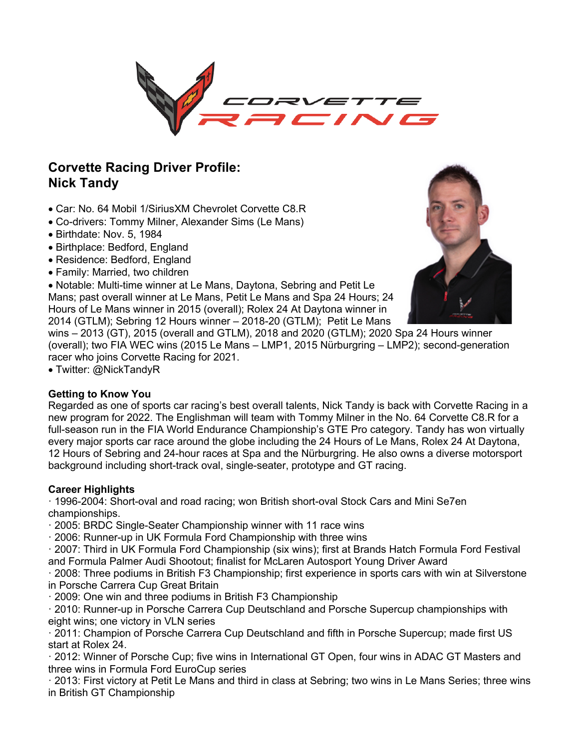

# **Corvette Racing Driver Profile: Nick Tandy**

- Car: No. 64 Mobil 1/SiriusXM Chevrolet Corvette C8.R
- Co-drivers: Tommy Milner, Alexander Sims (Le Mans)
- Birthdate: Nov. 5, 1984
- Birthplace: Bedford, England
- Residence: Bedford, England
- Family: Married, two children

• Notable: Multi-time winner at Le Mans, Daytona, Sebring and Petit Le Mans; past overall winner at Le Mans, Petit Le Mans and Spa 24 Hours; 24 Hours of Le Mans winner in 2015 (overall); Rolex 24 At Daytona winner in 2014 (GTLM); Sebring 12 Hours winner – 2018-20 (GTLM); Petit Le Mans

wins – 2013 (GT), 2015 (overall and GTLM), 2018 and 2020 (GTLM); 2020 Spa 24 Hours winner (overall); two FIA WEC wins (2015 Le Mans – LMP1, 2015 Nürburgring – LMP2); second-generation racer who joins Corvette Racing for 2021.

• Twitter: @NickTandyR

#### **Getting to Know You**

Regarded as one of sports car racing's best overall talents, Nick Tandy is back with Corvette Racing in a new program for 2022. The Englishman will team with Tommy Milner in the No. 64 Corvette C8.R for a full-season run in the FIA World Endurance Championship's GTE Pro category. Tandy has won virtually every major sports car race around the globe including the 24 Hours of Le Mans, Rolex 24 At Daytona, 12 Hours of Sebring and 24-hour races at Spa and the Nürburgring. He also owns a diverse motorsport background including short-track oval, single-seater, prototype and GT racing.

### **Career Highlights**

· 1996-2004: Short-oval and road racing; won British short-oval Stock Cars and Mini Se7en championships.

· 2005: BRDC Single-Seater Championship winner with 11 race wins

· 2006: Runner-up in UK Formula Ford Championship with three wins

· 2007: Third in UK Formula Ford Championship (six wins); first at Brands Hatch Formula Ford Festival and Formula Palmer Audi Shootout; finalist for McLaren Autosport Young Driver Award

· 2008: Three podiums in British F3 Championship; first experience in sports cars with win at Silverstone in Porsche Carrera Cup Great Britain

· 2009: One win and three podiums in British F3 Championship

· 2010: Runner-up in Porsche Carrera Cup Deutschland and Porsche Supercup championships with eight wins; one victory in VLN series

· 2011: Champion of Porsche Carrera Cup Deutschland and fifth in Porsche Supercup; made first US start at Rolex 24.

· 2012: Winner of Porsche Cup; five wins in International GT Open, four wins in ADAC GT Masters and three wins in Formula Ford EuroCup series

· 2013: First victory at Petit Le Mans and third in class at Sebring; two wins in Le Mans Series; three wins in British GT Championship

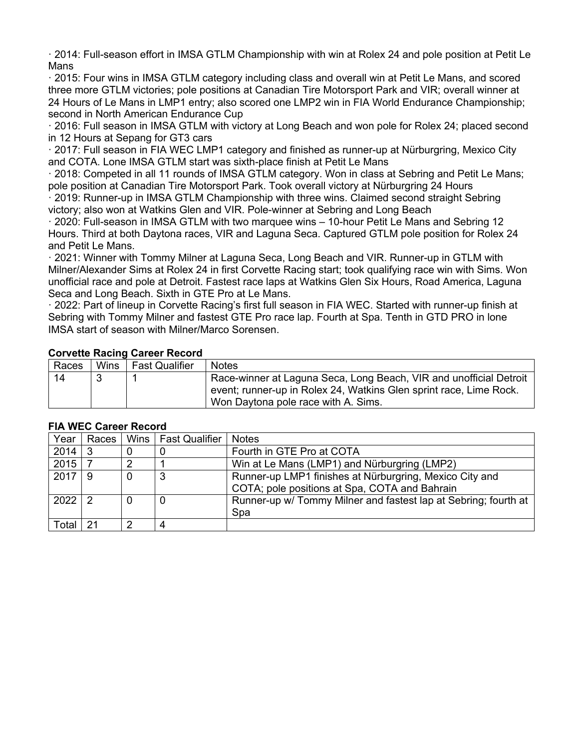· 2014: Full-season effort in IMSA GTLM Championship with win at Rolex 24 and pole position at Petit Le Mans

· 2015: Four wins in IMSA GTLM category including class and overall win at Petit Le Mans, and scored three more GTLM victories; pole positions at Canadian Tire Motorsport Park and VIR; overall winner at 24 Hours of Le Mans in LMP1 entry; also scored one LMP2 win in FIA World Endurance Championship; second in North American Endurance Cup

· 2016: Full season in IMSA GTLM with victory at Long Beach and won pole for Rolex 24; placed second in 12 Hours at Sepang for GT3 cars

· 2017: Full season in FIA WEC LMP1 category and finished as runner-up at Nürburgring, Mexico City and COTA. Lone IMSA GTLM start was sixth-place finish at Petit Le Mans

· 2018: Competed in all 11 rounds of IMSA GTLM category. Won in class at Sebring and Petit Le Mans; pole position at Canadian Tire Motorsport Park. Took overall victory at Nürburgring 24 Hours

· 2019: Runner-up in IMSA GTLM Championship with three wins. Claimed second straight Sebring victory; also won at Watkins Glen and VIR. Pole-winner at Sebring and Long Beach

· 2020: Full-season in IMSA GTLM with two marquee wins – 10-hour Petit Le Mans and Sebring 12 Hours. Third at both Daytona races, VIR and Laguna Seca. Captured GTLM pole position for Rolex 24 and Petit Le Mans.

· 2021: Winner with Tommy Milner at Laguna Seca, Long Beach and VIR. Runner-up in GTLM with Milner/Alexander Sims at Rolex 24 in first Corvette Racing start; took qualifying race win with Sims. Won unofficial race and pole at Detroit. Fastest race laps at Watkins Glen Six Hours, Road America, Laguna Seca and Long Beach. Sixth in GTE Pro at Le Mans.

· 2022: Part of lineup in Corvette Racing's first full season in FIA WEC. Started with runner-up finish at Sebring with Tommy Milner and fastest GTE Pro race lap. Fourth at Spa. Tenth in GTD PRO in lone IMSA start of season with Milner/Marco Sorensen.

|    | Races | Wins | <b>Fast Qualifier</b> | <b>Notes</b>                                                                                              |  |
|----|-------|------|-----------------------|-----------------------------------------------------------------------------------------------------------|--|
| 14 |       |      |                       | Race-winner at Laguna Seca, Long Beach, VIR and unofficial Detroit                                        |  |
|    |       |      |                       | event; runner-up in Rolex 24, Watkins Glen sprint race, Lime Rock.<br>Won Daytona pole race with A. Sims. |  |
|    |       |      |                       |                                                                                                           |  |

#### **Corvette Racing Career Record**

| ו וא זיבט טמוככו ולכעטוע |    |   |                               |                                                                 |  |
|--------------------------|----|---|-------------------------------|-----------------------------------------------------------------|--|
| Year                     |    |   | Races   Wins   Fast Qualifier | <b>Notes</b>                                                    |  |
| 2014                     | -3 |   |                               | Fourth in GTE Pro at COTA                                       |  |
| 2015                     |    |   |                               | Win at Le Mans (LMP1) and Nürburgring (LMP2)                    |  |
| 2017                     | -9 | 0 |                               | Runner-up LMP1 finishes at Nürburgring, Mexico City and         |  |
|                          |    |   |                               | COTA; pole positions at Spa, COTA and Bahrain                   |  |
| $2022$   2               |    | 0 | 0                             | Runner-up w/ Tommy Milner and fastest lap at Sebring; fourth at |  |
|                          |    |   |                               | Spa                                                             |  |
| Total                    |    | າ |                               |                                                                 |  |

#### **FIA WEC Career Record**